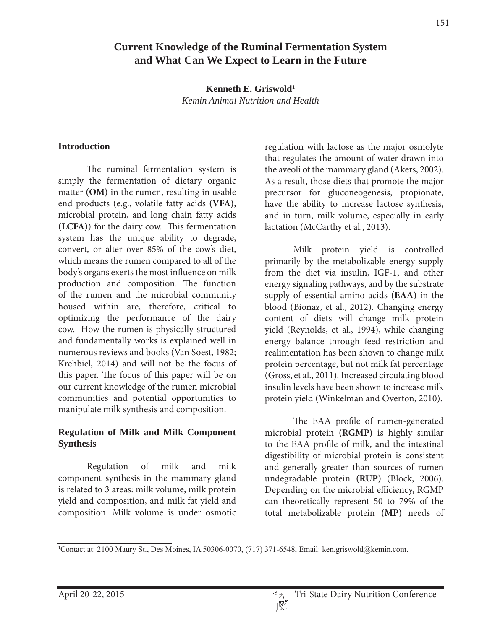# **Current Knowledge of the Ruminal Fermentation System and What Can We Expect to Learn in the Future**

**Kenneth E. Griswold1** *Kemin Animal Nutrition and Health*

#### **Introduction**

 The ruminal fermentation system is simply the fermentation of dietary organic matter **(OM)** in the rumen, resulting in usable end products (e.g., volatile fatty acids **(VFA)**, microbial protein, and long chain fatty acids **(LCFA)**) for the dairy cow. This fermentation system has the unique ability to degrade, convert, or alter over 85% of the cow's diet, which means the rumen compared to all of the body's organs exerts the most influence on milk production and composition. The function of the rumen and the microbial community housed within are, therefore, critical to optimizing the performance of the dairy cow. How the rumen is physically structured and fundamentally works is explained well in numerous reviews and books (Van Soest, 1982; Krehbiel, 2014) and will not be the focus of this paper. The focus of this paper will be on our current knowledge of the rumen microbial communities and potential opportunities to manipulate milk synthesis and composition.

### **Regulation of Milk and Milk Component Synthesis**

 Regulation of milk and milk component synthesis in the mammary gland is related to 3 areas: milk volume, milk protein yield and composition, and milk fat yield and composition. Milk volume is under osmotic

regulation with lactose as the major osmolyte that regulates the amount of water drawn into the aveoli of the mammary gland (Akers, 2002). As a result, those diets that promote the major precursor for gluconeogenesis, propionate, have the ability to increase lactose synthesis, and in turn, milk volume, especially in early lactation (McCarthy et al., 2013).

 Milk protein yield is controlled primarily by the metabolizable energy supply from the diet via insulin, IGF-1, and other energy signaling pathways, and by the substrate supply of essential amino acids **(EAA)** in the blood (Bionaz, et al., 2012). Changing energy content of diets will change milk protein yield (Reynolds, et al., 1994), while changing energy balance through feed restriction and realimentation has been shown to change milk protein percentage, but not milk fat percentage (Gross, et al., 2011). Increased circulating blood insulin levels have been shown to increase milk protein yield (Winkelman and Overton, 2010).

 The EAA profile of rumen-generated microbial protein **(RGMP)** is highly similar to the EAA profile of milk, and the intestinal digestibility of microbial protein is consistent and generally greater than sources of rumen undegradable protein **(RUP)** (Block, 2006). Depending on the microbial efficiency, RGMP can theoretically represent 50 to 79% of the total metabolizable protein **(MP)** needs of

Contact at: 2100 Maury St., Des Moines, IA 50306-0070, (717) 371-6548, Email: ken.griswold@kemin.com.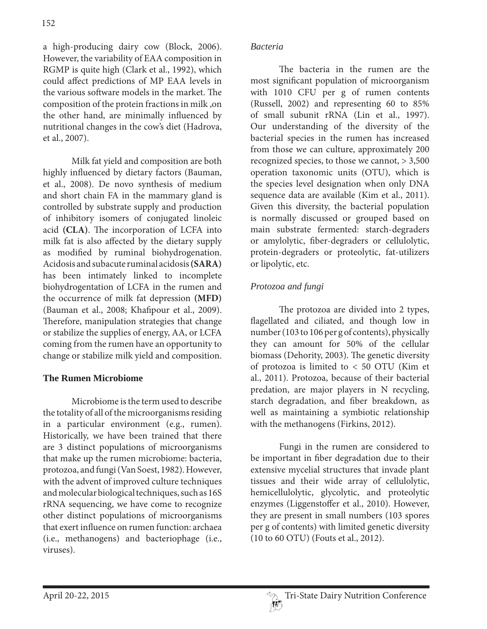a high-producing dairy cow (Block, 2006). However, the variability of EAA composition in RGMP is quite high (Clark et al., 1992), which could affect predictions of MP EAA levels in the various software models in the market. The composition of the protein fractions in milk ,on the other hand, are minimally influenced by nutritional changes in the cow's diet (Hadrova, et al., 2007).

 Milk fat yield and composition are both highly influenced by dietary factors (Bauman, et al., 2008). De novo synthesis of medium and short chain FA in the mammary gland is controlled by substrate supply and production of inhibitory isomers of conjugated linoleic acid **(CLA)**. The incorporation of LCFA into milk fat is also affected by the dietary supply as modified by ruminal biohydrogenation. Acidosis and subacute ruminal acidosis **(SARA)**  has been intimately linked to incomplete biohydrogentation of LCFA in the rumen and the occurrence of milk fat depression **(MFD)**  (Bauman et al., 2008; Khafipour et al., 2009). Therefore, manipulation strategies that change or stabilize the supplies of energy, AA, or LCFA coming from the rumen have an opportunity to change or stabilize milk yield and composition.

### **The Rumen Microbiome**

 Microbiome is the term used to describe the totality of all of the microorganisms residing in a particular environment (e.g., rumen). Historically, we have been trained that there are 3 distinct populations of microorganisms that make up the rumen microbiome: bacteria, protozoa, and fungi (Van Soest, 1982). However, with the advent of improved culture techniques and molecular biological techniques, such as 16S rRNA sequencing, we have come to recognize other distinct populations of microorganisms that exert influence on rumen function: archaea (i.e., methanogens) and bacteriophage (i.e., viruses).

#### *Bacteria*

 The bacteria in the rumen are the most significant population of microorganism with 1010 CFU per g of rumen contents (Russell, 2002) and representing 60 to 85% of small subunit rRNA (Lin et al., 1997). Our understanding of the diversity of the bacterial species in the rumen has increased from those we can culture, approximately 200 recognized species, to those we cannot, > 3,500 operation taxonomic units (OTU), which is the species level designation when only DNA sequence data are available (Kim et al., 2011). Given this diversity, the bacterial population is normally discussed or grouped based on main substrate fermented: starch-degraders or amylolytic, fiber-degraders or cellulolytic, protein-degraders or proteolytic, fat-utilizers or lipolytic, etc.

### *Protozoa and fungi*

 The protozoa are divided into 2 types, flagellated and ciliated, and though low in number (103 to 106 per g of contents), physically they can amount for 50% of the cellular biomass (Dehority, 2003). The genetic diversity of protozoa is limited to < 50 OTU (Kim et al., 2011). Protozoa, because of their bacterial predation, are major players in N recycling, starch degradation, and fiber breakdown, as well as maintaining a symbiotic relationship with the methanogens (Firkins, 2012).

 Fungi in the rumen are considered to be important in fiber degradation due to their extensive mycelial structures that invade plant tissues and their wide array of cellulolytic, hemicellulolytic, glycolytic, and proteolytic enzymes (Liggenstoffer et al., 2010). However, they are present in small numbers (103 spores per g of contents) with limited genetic diversity (10 to 60 OTU) (Fouts et al., 2012).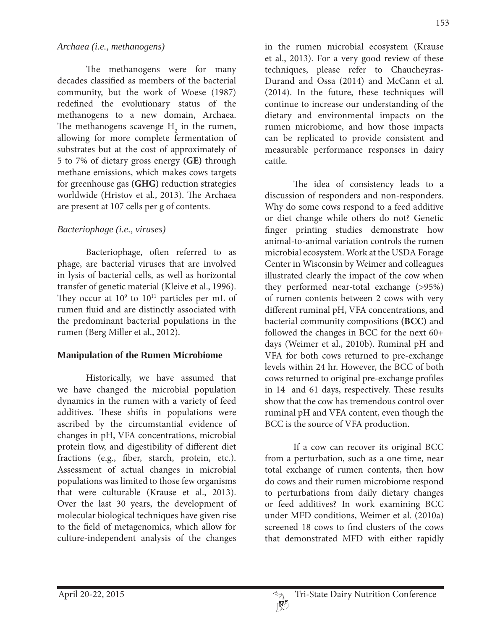#### *Archaea (i.e., methanogens)*

 The methanogens were for many decades classified as members of the bacterial community, but the work of Woese (1987) redefined the evolutionary status of the methanogens to a new domain, Archaea. The methanogens scavenge  $H_2$  in the rumen, allowing for more complete fermentation of substrates but at the cost of approximately of 5 to 7% of dietary gross energy **(GE)** through methane emissions, which makes cows targets for greenhouse gas **(GHG)** reduction strategies worldwide (Hristov et al., 2013). The Archaea are present at 107 cells per g of contents.

### *Bacteriophage (i.e., viruses)*

 Bacteriophage, often referred to as phage, are bacterial viruses that are involved in lysis of bacterial cells, as well as horizontal transfer of genetic material (Kleive et al., 1996). They occur at  $10^9$  to  $10^{11}$  particles per mL of rumen fluid and are distinctly associated with the predominant bacterial populations in the rumen (Berg Miller et al., 2012).

### **Manipulation of the Rumen Microbiome**

 Historically, we have assumed that we have changed the microbial population dynamics in the rumen with a variety of feed additives. These shifts in populations were ascribed by the circumstantial evidence of changes in pH, VFA concentrations, microbial protein flow, and digestibility of different diet fractions (e.g., fiber, starch, protein, etc.). Assessment of actual changes in microbial populations was limited to those few organisms that were culturable (Krause et al., 2013). Over the last 30 years, the development of molecular biological techniques have given rise to the field of metagenomics, which allow for culture-independent analysis of the changes

in the rumen microbial ecosystem (Krause et al., 2013). For a very good review of these techniques, please refer to Chaucheyras-Durand and Ossa (2014) and McCann et al. (2014). In the future, these techniques will continue to increase our understanding of the dietary and environmental impacts on the rumen microbiome, and how those impacts can be replicated to provide consistent and measurable performance responses in dairy cattle.

 The idea of consistency leads to a discussion of responders and non-responders. Why do some cows respond to a feed additive or diet change while others do not? Genetic finger printing studies demonstrate how animal-to-animal variation controls the rumen microbial ecosystem. Work at the USDA Forage Center in Wisconsin by Weimer and colleagues illustrated clearly the impact of the cow when they performed near-total exchange (>95%) of rumen contents between 2 cows with very different ruminal pH, VFA concentrations, and bacterial community compositions **(BCC)** and followed the changes in BCC for the next 60+ days (Weimer et al., 2010b). Ruminal pH and VFA for both cows returned to pre-exchange levels within 24 hr. However, the BCC of both cows returned to original pre-exchange profiles in 14 and 61 days, respectively. These results show that the cow has tremendous control over ruminal pH and VFA content, even though the BCC is the source of VFA production.

 If a cow can recover its original BCC from a perturbation, such as a one time, near total exchange of rumen contents, then how do cows and their rumen microbiome respond to perturbations from daily dietary changes or feed additives? In work examining BCC under MFD conditions, Weimer et al. (2010a) screened 18 cows to find clusters of the cows that demonstrated MFD with either rapidly

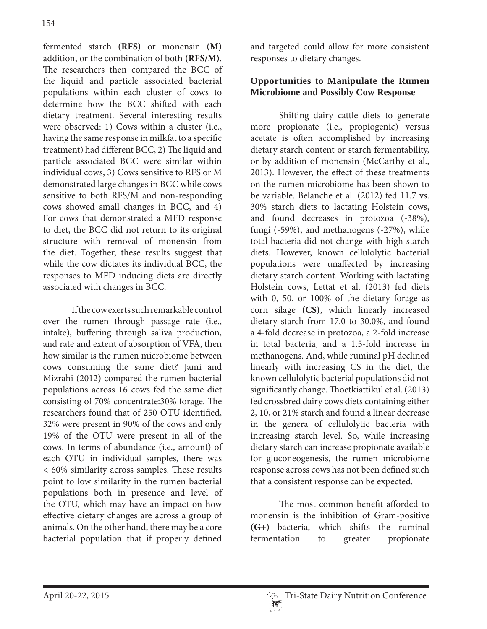fermented starch **(RFS)** or monensin **(M)** addition, or the combination of both **(RFS/M)**. The researchers then compared the BCC of the liquid and particle associated bacterial populations within each cluster of cows to determine how the BCC shifted with each dietary treatment. Several interesting results were observed: 1) Cows within a cluster (i.e., having the same response in milkfat to a specific treatment) had different BCC, 2) The liquid and particle associated BCC were similar within individual cows, 3) Cows sensitive to RFS or M demonstrated large changes in BCC while cows sensitive to both RFS/M and non-responding cows showed small changes in BCC, and 4) For cows that demonstrated a MFD response to diet, the BCC did not return to its original structure with removal of monensin from the diet. Together, these results suggest that while the cow dictates its individual BCC, the responses to MFD inducing diets are directly associated with changes in BCC.

 If the cow exerts such remarkable control over the rumen through passage rate (i.e., intake), buffering through saliva production, and rate and extent of absorption of VFA, then how similar is the rumen microbiome between cows consuming the same diet? Jami and Mizrahi (2012) compared the rumen bacterial populations across 16 cows fed the same diet consisting of 70% concentrate:30% forage. The researchers found that of 250 OTU identified, 32% were present in 90% of the cows and only 19% of the OTU were present in all of the cows. In terms of abundance (i.e., amount) of each OTU in individual samples, there was < 60% similarity across samples. These results point to low similarity in the rumen bacterial populations both in presence and level of the OTU, which may have an impact on how effective dietary changes are across a group of animals. On the other hand, there may be a core bacterial population that if properly defined

and targeted could allow for more consistent responses to dietary changes.

### **Opportunities to Manipulate the Rumen Microbiome and Possibly Cow Response**

 Shifting dairy cattle diets to generate more propionate (i.e., propiogenic) versus acetate is often accomplished by increasing dietary starch content or starch fermentability, or by addition of monensin (McCarthy et al., 2013). However, the effect of these treatments on the rumen microbiome has been shown to be variable. Belanche et al. (2012) fed 11.7 vs. 30% starch diets to lactating Holstein cows, and found decreases in protozoa (-38%), fungi (-59%), and methanogens (-27%), while total bacteria did not change with high starch diets. However, known cellulolytic bacterial populations were unaffected by increasing dietary starch content. Working with lactating Holstein cows, Lettat et al. (2013) fed diets with 0, 50, or 100% of the dietary forage as corn silage **(CS)**, which linearly increased dietary starch from 17.0 to 30.0%, and found a 4-fold decrease in protozoa, a 2-fold increase in total bacteria, and a 1.5-fold increase in methanogens. And, while ruminal pH declined linearly with increasing CS in the diet, the known cellulolytic bacterial populations did not significantly change. Thoetkiattikul et al. (2013) fed crossbred dairy cows diets containing either 2, 10, or 21% starch and found a linear decrease in the genera of cellulolytic bacteria with increasing starch level. So, while increasing dietary starch can increase propionate available for gluconeogenesis, the rumen microbiome response across cows has not been defined such that a consistent response can be expected.

 The most common benefit afforded to monensin is the inhibition of Gram-positive **(G+)** bacteria, which shifts the ruminal fermentation to greater propionate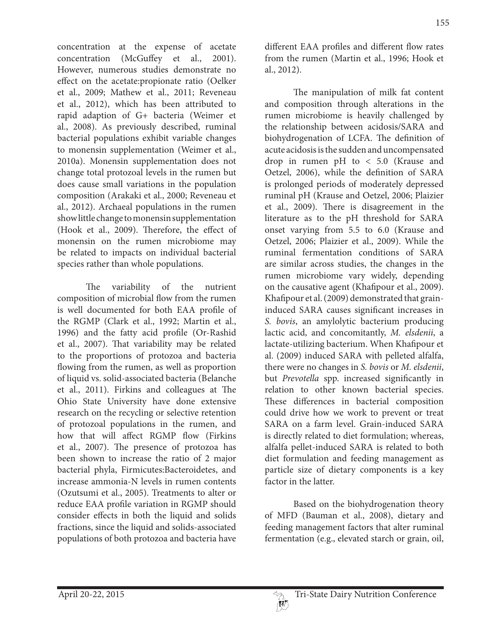concentration at the expense of acetate concentration (McGuffey et al., 2001). However, numerous studies demonstrate no effect on the acetate:propionate ratio (Oelker et al., 2009; Mathew et al., 2011; Reveneau et al., 2012), which has been attributed to rapid adaption of G+ bacteria (Weimer et al., 2008). As previously described, ruminal bacterial populations exhibit variable changes to monensin supplementation (Weimer et al., 2010a). Monensin supplementation does not change total protozoal levels in the rumen but does cause small variations in the population composition (Arakaki et al., 2000; Reveneau et al., 2012). Archaeal populations in the rumen show little change to monensin supplementation (Hook et al., 2009). Therefore, the effect of monensin on the rumen microbiome may be related to impacts on individual bacterial species rather than whole populations.

 The variability of the nutrient composition of microbial flow from the rumen is well documented for both EAA profile of the RGMP (Clark et al., 1992; Martin et al., 1996) and the fatty acid profile (Or-Rashid et al., 2007). That variability may be related to the proportions of protozoa and bacteria flowing from the rumen, as well as proportion of liquid vs. solid-associated bacteria (Belanche et al., 2011). Firkins and colleagues at The Ohio State University have done extensive research on the recycling or selective retention of protozoal populations in the rumen, and how that will affect RGMP flow (Firkins et al., 2007). The presence of protozoa has been shown to increase the ratio of 2 major bacterial phyla, Firmicutes:Bacteroidetes, and increase ammonia-N levels in rumen contents (Ozutsumi et al., 2005). Treatments to alter or reduce EAA profile variation in RGMP should consider effects in both the liquid and solids fractions, since the liquid and solids-associated populations of both protozoa and bacteria have

different EAA profiles and different flow rates from the rumen (Martin et al., 1996; Hook et al., 2012).

 The manipulation of milk fat content and composition through alterations in the rumen microbiome is heavily challenged by the relationship between acidosis/SARA and biohydrogenation of LCFA. The definition of acute acidosis is the sudden and uncompensated drop in rumen pH to < 5.0 (Krause and Oetzel, 2006), while the definition of SARA is prolonged periods of moderately depressed ruminal pH (Krause and Oetzel, 2006; Plaizier et al., 2009). There is disagreement in the literature as to the pH threshold for SARA onset varying from 5.5 to 6.0 (Krause and Oetzel, 2006; Plaizier et al., 2009). While the ruminal fermentation conditions of SARA are similar across studies, the changes in the rumen microbiome vary widely, depending on the causative agent (Khafipour et al., 2009). Khafipour et al. (2009) demonstrated that graininduced SARA causes significant increases in *S. bovis*, an amylolytic bacterium producing lactic acid, and concomitantly, *M. elsdenii*, a lactate-utilizing bacterium. When Khafipour et al. (2009) induced SARA with pelleted alfalfa, there were no changes in *S. bovis* or *M. elsdenii*, but *Prevotella* spp. increased significantly in relation to other known bacterial species. These differences in bacterial composition could drive how we work to prevent or treat SARA on a farm level. Grain-induced SARA is directly related to diet formulation; whereas, alfalfa pellet-induced SARA is related to both diet formulation and feeding management as particle size of dietary components is a key factor in the latter.

 Based on the biohydrogenation theory of MFD (Bauman et al., 2008), dietary and feeding management factors that alter ruminal fermentation (e.g., elevated starch or grain, oil,

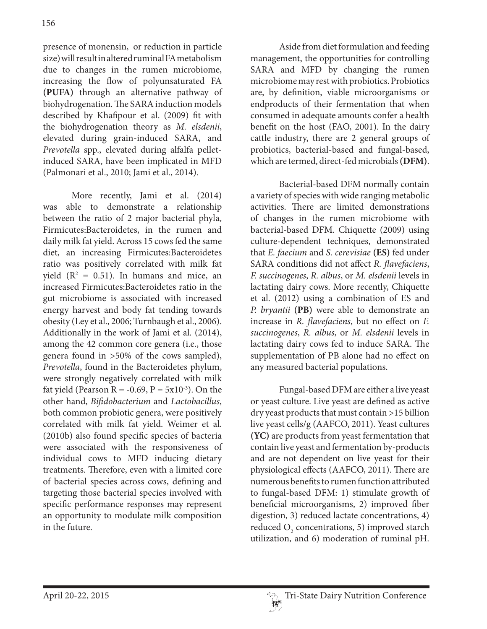presence of monensin, or reduction in particle size) will result in altered ruminal FA metabolism due to changes in the rumen microbiome, increasing the flow of polyunsaturated FA **(PUFA)** through an alternative pathway of biohydrogenation. The SARA induction models described by Khafipour et al. (2009) fit with the biohydrogenation theory as *M. elsdenii*, elevated during grain-induced SARA, and *Prevotella* spp., elevated during alfalfa pelletinduced SARA, have been implicated in MFD (Palmonari et al., 2010; Jami et al., 2014).

 More recently, Jami et al. (2014) was able to demonstrate a relationship between the ratio of 2 major bacterial phyla, Firmicutes:Bacteroidetes, in the rumen and daily milk fat yield. Across 15 cows fed the same diet, an increasing Firmicutes:Bacteroidetes ratio was positively correlated with milk fat yield  $(R^2 = 0.51)$ . In humans and mice, an increased Firmicutes:Bacteroidetes ratio in the gut microbiome is associated with increased energy harvest and body fat tending towards obesity (Ley et al., 2006; Turnbaugh et al., 2006). Additionally in the work of Jami et al. (2014), among the 42 common core genera (i.e., those genera found in >50% of the cows sampled), *Prevotella*, found in the Bacteroidetes phylum, were strongly negatively correlated with milk fat yield (Pearson R = -0.69, P =  $5x10^{-3}$ ). On the other hand, *Bifidobacterium* and *Lactobacillus*, both common probiotic genera, were positively correlated with milk fat yield. Weimer et al. (2010b) also found specific species of bacteria were associated with the responsiveness of individual cows to MFD inducing dietary treatments. Therefore, even with a limited core of bacterial species across cows, defining and targeting those bacterial species involved with specific performance responses may represent an opportunity to modulate milk composition in the future.

 Aside from diet formulation and feeding management, the opportunities for controlling SARA and MFD by changing the rumen microbiome may rest with probiotics. Probiotics are, by definition, viable microorganisms or endproducts of their fermentation that when consumed in adequate amounts confer a health benefit on the host (FAO, 2001). In the dairy cattle industry, there are 2 general groups of probiotics, bacterial-based and fungal-based, which are termed, direct-fed microbials **(DFM)**.

 Bacterial-based DFM normally contain a variety of species with wide ranging metabolic activities. There are limited demonstrations of changes in the rumen microbiome with bacterial-based DFM. Chiquette (2009) using culture-dependent techniques, demonstrated that *E. faecium* and *S. cerevisiae* **(ES)** fed under SARA conditions did not affect *R. flavefaciens*, *F. succinogenes*, *R. albus*, or *M. elsdenii* levels in lactating dairy cows. More recently, Chiquette et al. (2012) using a combination of ES and *P. bryantii* **(PB)** were able to demonstrate an increase in *R. flavefaciens*, but no effect on *F. succinogenes*, *R. albus*, or *M. elsdenii* levels in lactating dairy cows fed to induce SARA. The supplementation of PB alone had no effect on any measured bacterial populations.

 Fungal-based DFM are either a live yeast or yeast culture. Live yeast are defined as active dry yeast products that must contain >15 billion live yeast cells/g (AAFCO, 2011). Yeast cultures **(YC)** are products from yeast fermentation that contain live yeast and fermentation by-products and are not dependent on live yeast for their physiological effects (AAFCO, 2011). There are numerous benefits to rumen function attributed to fungal-based DFM: 1) stimulate growth of beneficial microorganisms, 2) improved fiber digestion, 3) reduced lactate concentrations, 4) reduced  $O_2$  concentrations, 5) improved starch utilization, and 6) moderation of ruminal pH.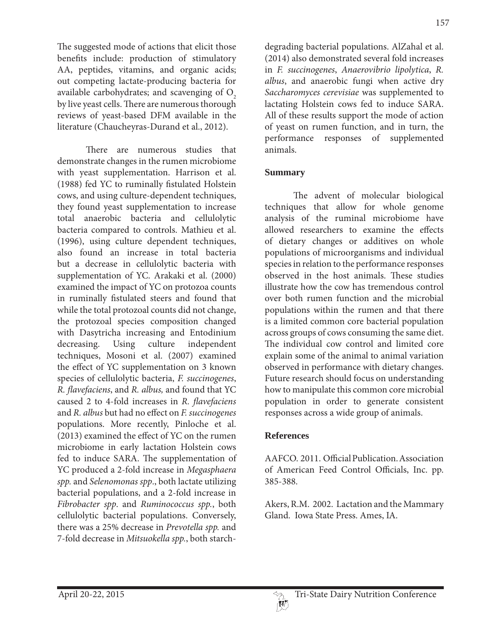The suggested mode of actions that elicit those benefits include: production of stimulatory AA, peptides, vitamins, and organic acids; out competing lactate-producing bacteria for available carbohydrates; and scavenging of  $O<sub>2</sub>$ by live yeast cells. There are numerous thorough reviews of yeast-based DFM available in the literature (Chaucheyras-Durand et al., 2012).

 There are numerous studies that demonstrate changes in the rumen microbiome with yeast supplementation. Harrison et al. (1988) fed YC to ruminally fistulated Holstein cows, and using culture-dependent techniques, they found yeast supplementation to increase total anaerobic bacteria and cellulolytic bacteria compared to controls. Mathieu et al. (1996), using culture dependent techniques, also found an increase in total bacteria but a decrease in cellulolytic bacteria with supplementation of YC. Arakaki et al. (2000) examined the impact of YC on protozoa counts in ruminally fistulated steers and found that while the total protozoal counts did not change, the protozoal species composition changed with Dasytricha increasing and Entodinium decreasing. Using culture independent techniques, Mosoni et al. (2007) examined the effect of YC supplementation on 3 known species of cellulolytic bacteria, *F. succinogenes*, *R. flavefaciens*, and *R. albus,* and found that YC caused 2 to 4-fold increases in *R. flavefaciens* and *R. albus* but had no effect on *F. succinogenes* populations. More recently, Pinloche et al. (2013) examined the effect of YC on the rumen microbiome in early lactation Holstein cows fed to induce SARA. The supplementation of YC produced a 2-fold increase in *Megasphaera spp.* and *Selenomonas spp*., both lactate utilizing bacterial populations, and a 2-fold increase in *Fibrobacter spp*. and *Ruminococcus spp.*, both cellulolytic bacterial populations. Conversely, there was a 25% decrease in *Prevotella spp.* and 7-fold decrease in *Mitsuokella spp.*, both starchdegrading bacterial populations. AlZahal et al. (2014) also demonstrated several fold increases in *F. succinogenes*, *Anaerovibrio lipolytica*, *R. albus*, and anaerobic fungi when active dry *Saccharomyces cerevisiae* was supplemented to lactating Holstein cows fed to induce SARA. All of these results support the mode of action of yeast on rumen function, and in turn, the performance responses of supplemented animals.

## **Summary**

 The advent of molecular biological techniques that allow for whole genome analysis of the ruminal microbiome have allowed researchers to examine the effects of dietary changes or additives on whole populations of microorganisms and individual species in relation to the performance responses observed in the host animals. These studies illustrate how the cow has tremendous control over both rumen function and the microbial populations within the rumen and that there is a limited common core bacterial population across groups of cows consuming the same diet. The individual cow control and limited core explain some of the animal to animal variation observed in performance with dietary changes. Future research should focus on understanding how to manipulate this common core microbial population in order to generate consistent responses across a wide group of animals.

### **References**

AAFCO. 2011. Official Publication. Association of American Feed Control Officials, Inc. pp. 385-388.

Akers, R.M. 2002. Lactation and the Mammary Gland. Iowa State Press. Ames, IA.

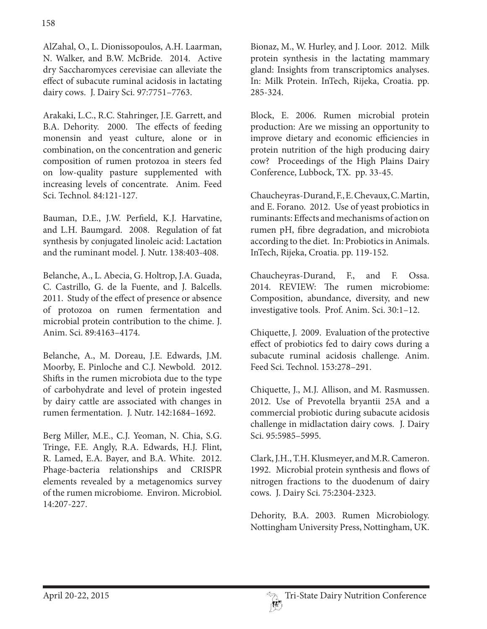AlZahal, O., L. Dionissopoulos, A.H. Laarman, N. Walker, and B.W. McBride. 2014. Active dry Saccharomyces cerevisiae can alleviate the effect of subacute ruminal acidosis in lactating dairy cows. J. Dairy Sci. 97:7751–7763.

Arakaki, L.C., R.C. Stahringer, J.E. Garrett, and B.A. Dehority. 2000. The effects of feeding monensin and yeast culture, alone or in combination, on the concentration and generic composition of rumen protozoa in steers fed on low-quality pasture supplemented with increasing levels of concentrate. Anim. Feed Sci. Technol. 84:121-127.

Bauman, D.E., J.W. Perfield, K.J. Harvatine, and L.H. Baumgard. 2008. Regulation of fat synthesis by conjugated linoleic acid: Lactation and the ruminant model. J. Nutr. 138:403-408.

Belanche, A., L. Abecia, G. Holtrop, J.A. Guada, C. Castrillo, G. de la Fuente, and J. Balcells. 2011. Study of the effect of presence or absence of protozoa on rumen fermentation and microbial protein contribution to the chime. J. Anim. Sci. 89:4163–4174.

Belanche, A., M. Doreau, J.E. Edwards, J.M. Moorby, E. Pinloche and C.J. Newbold. 2012. Shifts in the rumen microbiota due to the type of carbohydrate and level of protein ingested by dairy cattle are associated with changes in rumen fermentation. J. Nutr. 142:1684–1692.

Berg Miller, M.E., C.J. Yeoman, N. Chia, S.G. Tringe, F.E. Angly, R.A. Edwards, H.J. Flint, R. Lamed, E.A. Bayer, and B.A. White. 2012. Phage-bacteria relationships and CRISPR elements revealed by a metagenomics survey of the rumen microbiome. Environ. Microbiol. 14:207-227.

Bionaz, M., W. Hurley, and J. Loor. 2012. Milk protein synthesis in the lactating mammary gland: Insights from transcriptomics analyses. In: Milk Protein. InTech, Rijeka, Croatia. pp. 285-324.

Block, E. 2006. Rumen microbial protein production: Are we missing an opportunity to improve dietary and economic efficiencies in protein nutrition of the high producing dairy cow? Proceedings of the High Plains Dairy Conference, Lubbock, TX. pp. 33-45.

Chaucheyras-Durand, F., E. Chevaux, C. Martin, and E. Forano. 2012. Use of yeast probiotics in ruminants: Effects and mechanisms of action on rumen pH, fibre degradation, and microbiota according to the diet. In: Probiotics in Animals. InTech, Rijeka, Croatia. pp. 119-152.

Chaucheyras-Durand, F., and F. Ossa. 2014. REVIEW: The rumen microbiome: Composition, abundance, diversity, and new investigative tools. Prof. Anim. Sci. 30:1–12.

Chiquette, J. 2009. Evaluation of the protective effect of probiotics fed to dairy cows during a subacute ruminal acidosis challenge. Anim. Feed Sci. Technol. 153:278–291.

Chiquette, J., M.J. Allison, and M. Rasmussen. 2012. Use of Prevotella bryantii 25A and a commercial probiotic during subacute acidosis challenge in midlactation dairy cows. J. Dairy Sci. 95:5985–5995.

Clark, J.H., T.H. Klusmeyer, and M.R. Cameron. 1992. Microbial protein synthesis and flows of nitrogen fractions to the duodenum of dairy cows. J. Dairy Sci. 75:2304-2323.

Dehority, B.A. 2003. Rumen Microbiology. Nottingham University Press, Nottingham, UK.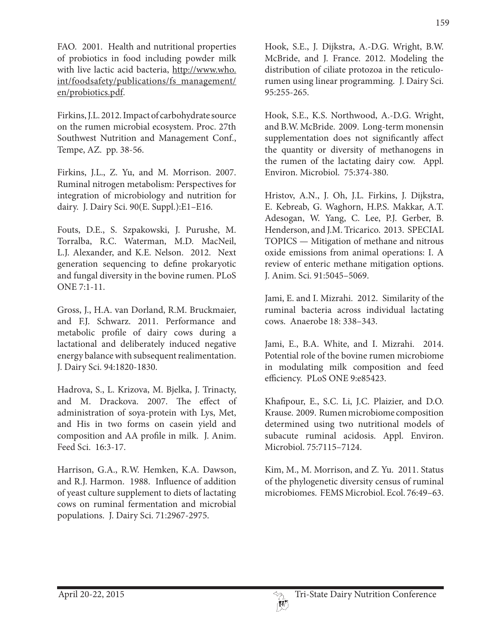FAO. 2001. Health and nutritional properties of probiotics in food including powder milk with live lactic acid bacteria, http://www.who. int/foodsafety/publications/fs\_management/ en/probiotics.pdf.

Firkins, J.L. 2012. Impact of carbohydrate source on the rumen microbial ecosystem. Proc. 27th Southwest Nutrition and Management Conf., Tempe, AZ. pp. 38-56.

Firkins, J.L., Z. Yu, and M. Morrison. 2007. Ruminal nitrogen metabolism: Perspectives for integration of microbiology and nutrition for dairy. J. Dairy Sci. 90(E. Suppl.):E1–E16.

Fouts, D.E., S. Szpakowski, J. Purushe, M. Torralba, R.C. Waterman, M.D. MacNeil, L.J. Alexander, and K.E. Nelson. 2012. Next generation sequencing to define prokaryotic and fungal diversity in the bovine rumen. PLoS ONE 7:1-11.

Gross, J., H.A. van Dorland, R.M. Bruckmaier, and F.J. Schwarz. 2011. Performance and metabolic profile of dairy cows during a lactational and deliberately induced negative energy balance with subsequent realimentation. J. Dairy Sci. 94:1820-1830.

Hadrova, S., L. Krizova, M. Bjelka, J. Trinacty, and M. Drackova. 2007. The effect of administration of soya-protein with Lys, Met, and His in two forms on casein yield and composition and AA profile in milk. J. Anim. Feed Sci. 16:3-17.

Harrison, G.A., R.W. Hemken, K.A. Dawson, and R.J. Harmon. 1988. Influence of addition of yeast culture supplement to diets of lactating cows on ruminal fermentation and microbial populations. J. Dairy Sci. 71:2967-2975.

Hook, S.E., J. Dijkstra, A.-D.G. Wright, B.W. McBride, and J. France. 2012. Modeling the distribution of ciliate protozoa in the reticulorumen using linear programming. J. Dairy Sci. 95:255-265.

Hook, S.E., K.S. Northwood, A.-D.G. Wright, and B.W. McBride. 2009. Long-term monensin supplementation does not significantly affect the quantity or diversity of methanogens in the rumen of the lactating dairy cow. Appl. Environ. Microbiol. 75:374-380.

Hristov, A.N., J. Oh, J.L. Firkins, J. Dijkstra, E. Kebreab, G. Waghorn, H.P.S. Makkar, A.T. Adesogan, W. Yang, C. Lee, P.J. Gerber, B. Henderson, and J.M. Tricarico. 2013. SPECIAL TOPICS — Mitigation of methane and nitrous oxide emissions from animal operations: I. A review of enteric methane mitigation options. J. Anim. Sci. 91:5045–5069.

Jami, E. and I. Mizrahi. 2012. Similarity of the ruminal bacteria across individual lactating cows. Anaerobe 18: 338–343.

Jami, E., B.A. White, and I. Mizrahi. 2014. Potential role of the bovine rumen microbiome in modulating milk composition and feed efficiency. PLoS ONE 9:e85423.

Khafipour, E., S.C. Li, J.C. Plaizier, and D.O. Krause. 2009. Rumen microbiome composition determined using two nutritional models of subacute ruminal acidosis. Appl. Environ. Microbiol. 75:7115–7124.

Kim, M., M. Morrison, and Z. Yu. 2011. Status of the phylogenetic diversity census of ruminal microbiomes. FEMS Microbiol. Ecol. 76:49–63.

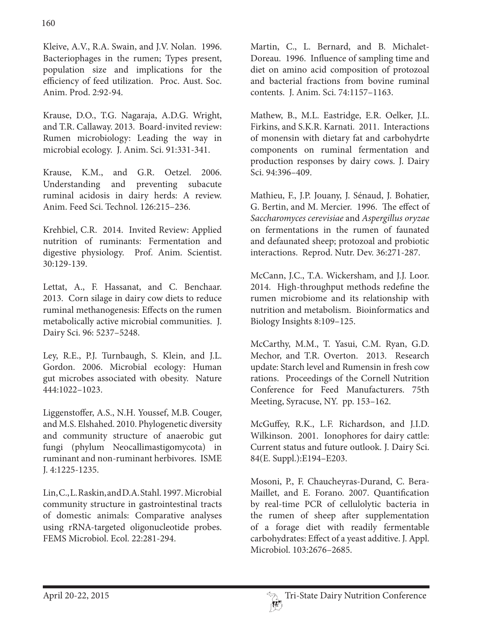Kleive, A.V., R.A. Swain, and J.V. Nolan. 1996. Bacteriophages in the rumen; Types present, population size and implications for the efficiency of feed utilization. Proc. Aust. Soc. Anim. Prod. 2:92-94.

Krause, D.O., T.G. Nagaraja, A.D.G. Wright, and T.R. Callaway. 2013. Board-invited review: Rumen microbiology: Leading the way in microbial ecology. J. Anim. Sci. 91:331-341.

Krause, K.M., and G.R. Oetzel. 2006. Understanding and preventing subacute ruminal acidosis in dairy herds: A review. Anim. Feed Sci. Technol. 126:215–236.

Krehbiel, C.R. 2014. Invited Review: Applied nutrition of ruminants: Fermentation and digestive physiology. Prof. Anim. Scientist. 30:129-139.

Lettat, A., F. Hassanat, and C. Benchaar. 2013. Corn silage in dairy cow diets to reduce ruminal methanogenesis: Effects on the rumen metabolically active microbial communities. J. Dairy Sci. 96: 5237–5248.

Ley, R.E., P.J. Turnbaugh, S. Klein, and J.L. Gordon. 2006. Microbial ecology: Human gut microbes associated with obesity. Nature 444:1022–1023.

Liggenstoffer, A.S., N.H. Youssef, M.B. Couger, and M.S. Elshahed. 2010. Phylogenetic diversity and community structure of anaerobic gut fungi (phylum Neocallimastigomycota) in ruminant and non-ruminant herbivores. ISME J. 4:1225-1235.

Lin, C., L. Raskin, and D.A. Stahl. 1997. Microbial community structure in gastrointestinal tracts of domestic animals: Comparative analyses using rRNA-targeted oligonucleotide probes. FEMS Microbiol. Ecol. 22:281-294.

Martin, C., L. Bernard, and B. Michalet-Doreau. 1996. Influence of sampling time and diet on amino acid composition of protozoal and bacterial fractions from bovine ruminal contents. J. Anim. Sci. 74:1157–1163.

Mathew, B., M.L. Eastridge, E.R. Oelker, J.L. Firkins, and S.K.R. Karnati. 2011. Interactions of monensin with dietary fat and carbohydrte components on ruminal fermentation and production responses by dairy cows. J. Dairy Sci. 94:396–409.

Mathieu, F., J.P. Jouany, J. Sénaud, J. Bohatier, G. Bertin, and M. Mercier. 1996. The effect of *Saccharomyces cerevisiae* and *Aspergillus oryzae*  on fermentations in the rumen of faunated and defaunated sheep; protozoal and probiotic interactions. Reprod. Nutr. Dev. 36:271-287.

McCann, J.C., T.A. Wickersham, and J.J. Loor. 2014. High-throughput methods redefine the rumen microbiome and its relationship with nutrition and metabolism. Bioinformatics and Biology Insights 8:109–125.

McCarthy, M.M., T. Yasui, C.M. Ryan, G.D. Mechor, and T.R. Overton. 2013. Research update: Starch level and Rumensin in fresh cow rations. Proceedings of the Cornell Nutrition Conference for Feed Manufacturers. 75th Meeting, Syracuse, NY. pp. 153–162.

McGuffey, R.K., L.F. Richardson, and J.I.D. Wilkinson. 2001. Ionophores for dairy cattle: Current status and future outlook. J. Dairy Sci. 84(E. Suppl.):E194–E203.

Mosoni, P., F. Chaucheyras-Durand, C. Bera-Maillet, and E. Forano. 2007. Quantification by real-time PCR of cellulolytic bacteria in the rumen of sheep after supplementation of a forage diet with readily fermentable carbohydrates: Effect of a yeast additive. J. Appl. Microbiol. 103:2676–2685.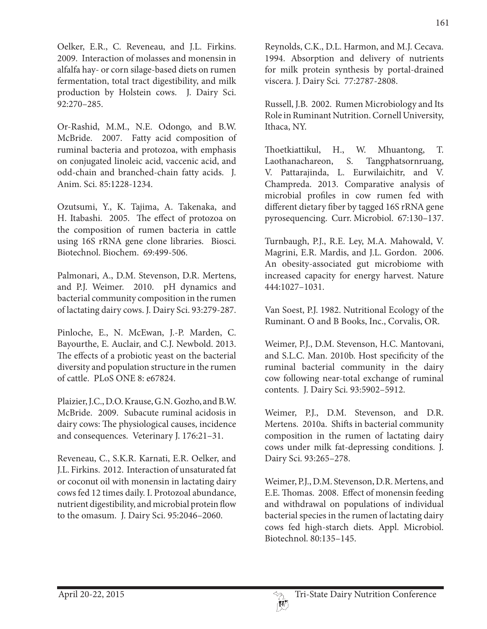Oelker, E.R., C. Reveneau, and J.L. Firkins. 2009. Interaction of molasses and monensin in alfalfa hay- or corn silage-based diets on rumen fermentation, total tract digestibility, and milk production by Holstein cows. J. Dairy Sci. 92:270–285.

Or-Rashid, M.M., N.E. Odongo, and B.W. McBride. 2007. Fatty acid composition of ruminal bacteria and protozoa, with emphasis on conjugated linoleic acid, vaccenic acid, and odd-chain and branched-chain fatty acids. J. Anim. Sci. 85:1228-1234.

Ozutsumi, Y., K. Tajima, A. Takenaka, and H. Itabashi. 2005. The effect of protozoa on the composition of rumen bacteria in cattle using 16S rRNA gene clone libraries. Biosci. Biotechnol. Biochem. 69:499-506.

Palmonari, A., D.M. Stevenson, D.R. Mertens, and P.J. Weimer. 2010. pH dynamics and bacterial community composition in the rumen of lactating dairy cows. J. Dairy Sci. 93:279-287.

Pinloche, E., N. McEwan, J.-P. Marden, C. Bayourthe, E. Auclair, and C.J. Newbold. 2013. The effects of a probiotic yeast on the bacterial diversity and population structure in the rumen of cattle. PLoS ONE 8: e67824.

Plaizier, J.C., D.O. Krause, G.N. Gozho, and B.W. McBride. 2009. Subacute ruminal acidosis in dairy cows: The physiological causes, incidence and consequences. Veterinary J. 176:21–31.

Reveneau, C., S.K.R. Karnati, E.R. Oelker, and J.L. Firkins. 2012. Interaction of unsaturated fat or coconut oil with monensin in lactating dairy cows fed 12 times daily. I. Protozoal abundance, nutrient digestibility, and microbial protein flow to the omasum. J. Dairy Sci. 95:2046–2060.

Reynolds, C.K., D.L. Harmon, and M.J. Cecava. 1994. Absorption and delivery of nutrients for milk protein synthesis by portal-drained viscera. J. Dairy Sci. 77:2787-2808.

Russell, J.B. 2002. Rumen Microbiology and Its Role in Ruminant Nutrition. Cornell University, Ithaca, NY.

Thoetkiattikul, H., W. Mhuantong, T. Laothanachareon, S. Tangphatsornruang, V. Pattarajinda, L. Eurwilaichitr, and V. Champreda. 2013. Comparative analysis of microbial profiles in cow rumen fed with different dietary fiber by tagged 16S rRNA gene pyrosequencing. Curr. Microbiol. 67:130–137.

Turnbaugh, P.J., R.E. Ley, M.A. Mahowald, V. Magrini, E.R. Mardis, and J.L. Gordon. 2006. An obesity-associated gut microbiome with increased capacity for energy harvest. Nature 444:1027–1031.

Van Soest, P.J. 1982. Nutritional Ecology of the Ruminant. O and B Books, Inc., Corvalis, OR.

Weimer, P.J., D.M. Stevenson, H.C. Mantovani, and S.L.C. Man. 2010b. Host specificity of the ruminal bacterial community in the dairy cow following near-total exchange of ruminal contents. J. Dairy Sci. 93:5902–5912.

Weimer, P.J., D.M. Stevenson, and D.R. Mertens. 2010a. Shifts in bacterial community composition in the rumen of lactating dairy cows under milk fat-depressing conditions. J. Dairy Sci. 93:265–278.

Weimer, P.J., D.M. Stevenson, D.R. Mertens, and E.E. Thomas. 2008. Effect of monensin feeding and withdrawal on populations of individual bacterial species in the rumen of lactating dairy cows fed high-starch diets. Appl. Microbiol. Biotechnol. 80:135–145.